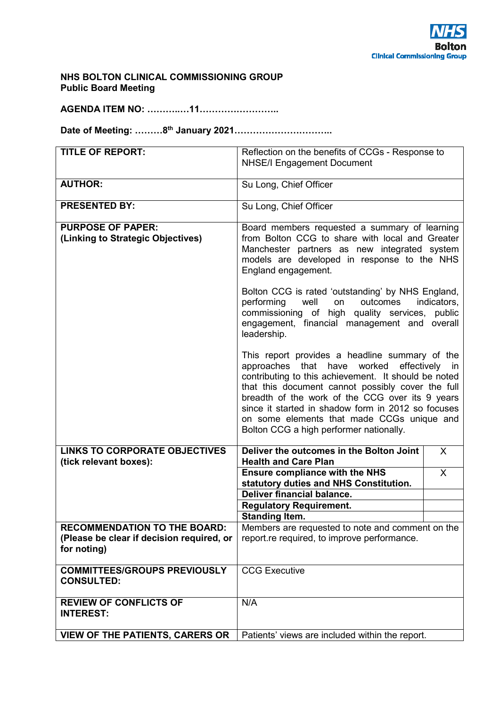### **NHS BOLTON CLINICAL COMMISSIONING GROUP Public Board Meeting**

**AGENDA ITEM NO: ………..…11……………………..** 

**Date of Meeting: ………8th January 2021…………………………..** 

| <b>TITLE OF REPORT:</b>                                                                         | Reflection on the benefits of CCGs - Response to<br><b>NHSE/I Engagement Document</b>                                                                                                                                                                                                                                                                                                                                |              |
|-------------------------------------------------------------------------------------------------|----------------------------------------------------------------------------------------------------------------------------------------------------------------------------------------------------------------------------------------------------------------------------------------------------------------------------------------------------------------------------------------------------------------------|--------------|
| <b>AUTHOR:</b>                                                                                  | Su Long, Chief Officer                                                                                                                                                                                                                                                                                                                                                                                               |              |
| <b>PRESENTED BY:</b>                                                                            | Su Long, Chief Officer                                                                                                                                                                                                                                                                                                                                                                                               |              |
| <b>PURPOSE OF PAPER:</b><br>(Linking to Strategic Objectives)                                   | Board members requested a summary of learning<br>from Bolton CCG to share with local and Greater<br>Manchester partners as new integrated system<br>models are developed in response to the NHS<br>England engagement.<br>Bolton CCG is rated 'outstanding' by NHS England,                                                                                                                                          |              |
|                                                                                                 | performing well<br>outcomes<br>on<br>commissioning of high quality services, public<br>engagement, financial management and overall<br>leadership.                                                                                                                                                                                                                                                                   | indicators,  |
|                                                                                                 | This report provides a headline summary of the<br>approaches that have<br>worked<br>effectively<br>in<br>contributing to this achievement. It should be noted<br>that this document cannot possibly cover the full<br>breadth of the work of the CCG over its 9 years<br>since it started in shadow form in 2012 so focuses<br>on some elements that made CCGs unique and<br>Bolton CCG a high performer nationally. |              |
| <b>LINKS TO CORPORATE OBJECTIVES</b><br>(tick relevant boxes):                                  | Deliver the outcomes in the Bolton Joint<br><b>Health and Care Plan</b>                                                                                                                                                                                                                                                                                                                                              | $\sf X$      |
|                                                                                                 | <b>Ensure compliance with the NHS</b><br>statutory duties and NHS Constitution.                                                                                                                                                                                                                                                                                                                                      | $\mathsf{X}$ |
|                                                                                                 | Deliver financial balance.                                                                                                                                                                                                                                                                                                                                                                                           |              |
|                                                                                                 | <b>Regulatory Requirement.</b>                                                                                                                                                                                                                                                                                                                                                                                       |              |
|                                                                                                 | <b>Standing Item.</b>                                                                                                                                                                                                                                                                                                                                                                                                |              |
| <b>RECOMMENDATION TO THE BOARD:</b><br>(Please be clear if decision required, or<br>for noting) | Members are requested to note and comment on the<br>report.re required, to improve performance.                                                                                                                                                                                                                                                                                                                      |              |
| <b>COMMITTEES/GROUPS PREVIOUSLY</b><br><b>CONSULTED:</b>                                        | <b>CCG Executive</b>                                                                                                                                                                                                                                                                                                                                                                                                 |              |
| <b>REVIEW OF CONFLICTS OF</b><br><b>INTEREST:</b>                                               | N/A                                                                                                                                                                                                                                                                                                                                                                                                                  |              |
| <b>VIEW OF THE PATIENTS, CARERS OR</b>                                                          | Patients' views are included within the report.                                                                                                                                                                                                                                                                                                                                                                      |              |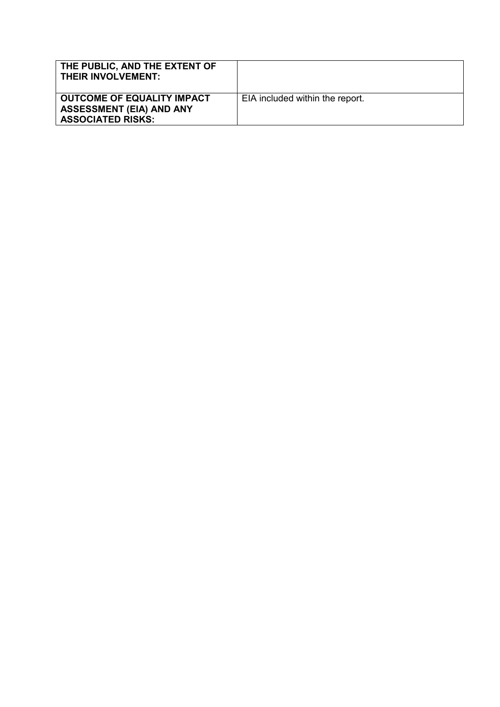| THE PUBLIC, AND THE EXTENT OF<br><b>THEIR INVOLVEMENT:</b>                                |                                 |
|-------------------------------------------------------------------------------------------|---------------------------------|
| OUTCOME OF EQUALITY IMPACT<br><b>ASSESSMENT (EIA) AND ANY</b><br><b>ASSOCIATED RISKS:</b> | EIA included within the report. |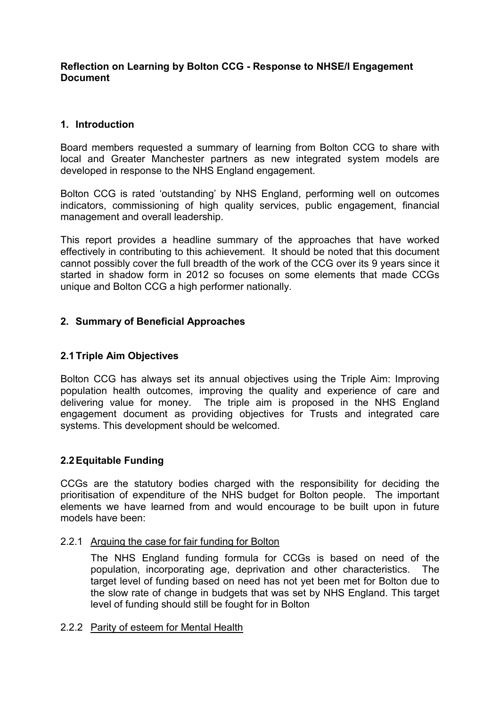## **Reflection on Learning by Bolton CCG - Response to NHSE/I Engagement Document**

# **1. Introduction**

Board members requested a summary of learning from Bolton CCG to share with local and Greater Manchester partners as new integrated system models are developed in response to the NHS England engagement.

Bolton CCG is rated 'outstanding' by NHS England, performing well on outcomes indicators, commissioning of high quality services, public engagement, financial management and overall leadership.

This report provides a headline summary of the approaches that have worked effectively in contributing to this achievement. It should be noted that this document cannot possibly cover the full breadth of the work of the CCG over its 9 years since it started in shadow form in 2012 so focuses on some elements that made CCGs unique and Bolton CCG a high performer nationally.

# **2. Summary of Beneficial Approaches**

# **2.1 Triple Aim Objectives**

Bolton CCG has always set its annual objectives using the Triple Aim: Improving population health outcomes, improving the quality and experience of care and delivering value for money. The triple aim is proposed in the NHS England engagement document as providing objectives for Trusts and integrated care systems. This development should be welcomed.

# **2.2 Equitable Funding**

CCGs are the statutory bodies charged with the responsibility for deciding the prioritisation of expenditure of the NHS budget for Bolton people. The important elements we have learned from and would encourage to be built upon in future models have been:

### 2.2.1 Arguing the case for fair funding for Bolton

The NHS England funding formula for CCGs is based on need of the population, incorporating age, deprivation and other characteristics. The target level of funding based on need has not yet been met for Bolton due to the slow rate of change in budgets that was set by NHS England. This target level of funding should still be fought for in Bolton

### 2.2.2 Parity of esteem for Mental Health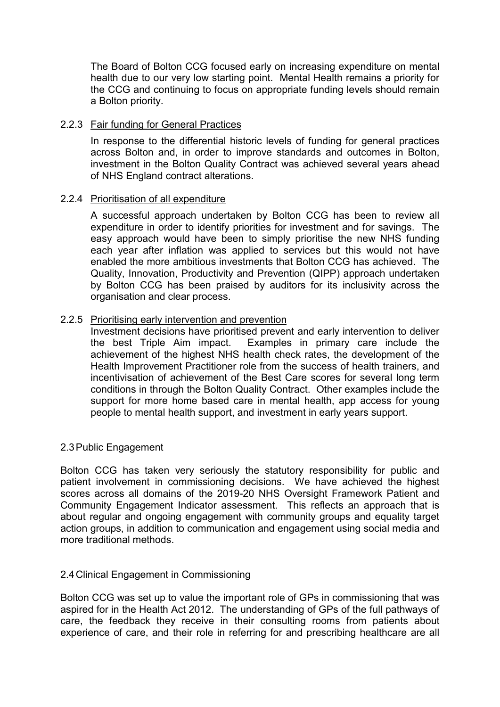The Board of Bolton CCG focused early on increasing expenditure on mental health due to our very low starting point. Mental Health remains a priority for the CCG and continuing to focus on appropriate funding levels should remain a Bolton priority.

## 2.2.3 Fair funding for General Practices

In response to the differential historic levels of funding for general practices across Bolton and, in order to improve standards and outcomes in Bolton, investment in the Bolton Quality Contract was achieved several years ahead of NHS England contract alterations.

## 2.2.4 Prioritisation of all expenditure

A successful approach undertaken by Bolton CCG has been to review all expenditure in order to identify priorities for investment and for savings. The easy approach would have been to simply prioritise the new NHS funding each year after inflation was applied to services but this would not have enabled the more ambitious investments that Bolton CCG has achieved. The Quality, Innovation, Productivity and Prevention (QIPP) approach undertaken by Bolton CCG has been praised by auditors for its inclusivity across the organisation and clear process.

## 2.2.5 Prioritising early intervention and prevention

Investment decisions have prioritised prevent and early intervention to deliver<br>the best Triple Aim impact. Examples in primary care include the Examples in primary care include the achievement of the highest NHS health check rates, the development of the Health Improvement Practitioner role from the success of health trainers, and incentivisation of achievement of the Best Care scores for several long term conditions in through the Bolton Quality Contract. Other examples include the support for more home based care in mental health, app access for young people to mental health support, and investment in early years support.

### 2.3 Public Engagement

Bolton CCG has taken very seriously the statutory responsibility for public and patient involvement in commissioning decisions. We have achieved the highest scores across all domains of the 2019-20 NHS Oversight Framework Patient and Community Engagement Indicator assessment. This reflects an approach that is about regular and ongoing engagement with community groups and equality target action groups, in addition to communication and engagement using social media and more traditional methods.

### 2.4 Clinical Engagement in Commissioning

Bolton CCG was set up to value the important role of GPs in commissioning that was aspired for in the Health Act 2012. The understanding of GPs of the full pathways of care, the feedback they receive in their consulting rooms from patients about experience of care, and their role in referring for and prescribing healthcare are all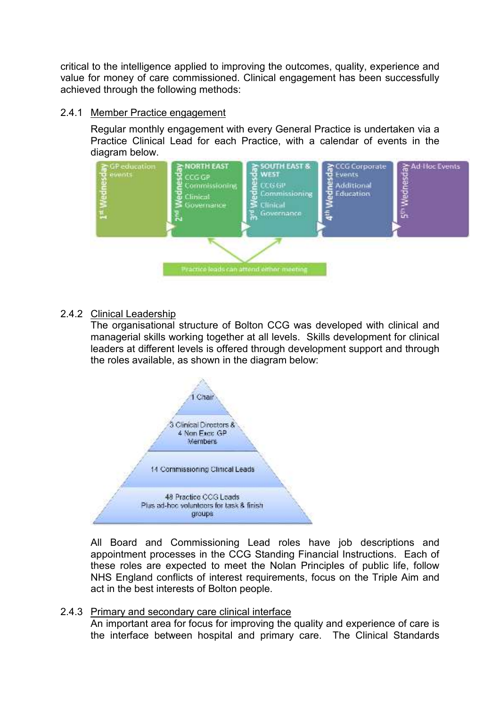critical to the intelligence applied to improving the outcomes, quality, experience and value for money of care commissioned. Clinical engagement has been successfully achieved through the following methods:

# 2.4.1 Member Practice engagement

Regular monthly engagement with every General Practice is undertaken via a Practice Clinical Lead for each Practice, with a calendar of events in the diagram below.



# 2.4.2 Clinical Leadership

The organisational structure of Bolton CCG was developed with clinical and managerial skills working together at all levels. Skills development for clinical leaders at different levels is offered through development support and through the roles available, as shown in the diagram below:



All Board and Commissioning Lead roles have job descriptions and appointment processes in the CCG Standing Financial Instructions. Each of these roles are expected to meet the Nolan Principles of public life, follow NHS England conflicts of interest requirements, focus on the Triple Aim and act in the best interests of Bolton people.

## 2.4.3 Primary and secondary care clinical interface

An important area for focus for improving the quality and experience of care is the interface between hospital and primary care. The Clinical Standards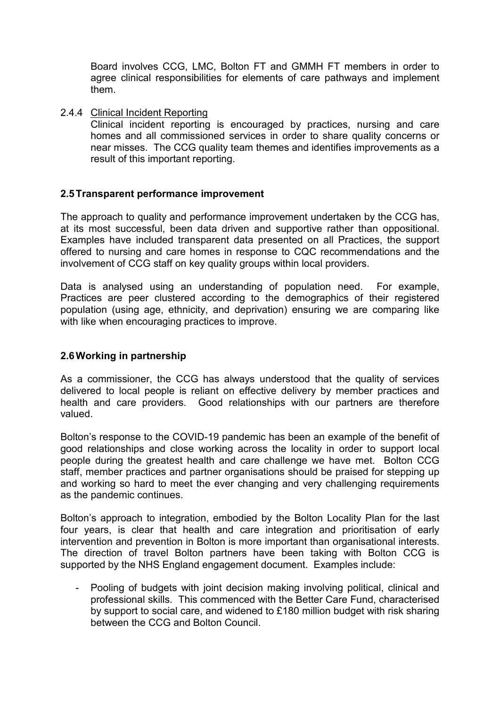Board involves CCG, LMC, Bolton FT and GMMH FT members in order to agree clinical responsibilities for elements of care pathways and implement them.

## 2.4.4 Clinical Incident Reporting

Clinical incident reporting is encouraged by practices, nursing and care homes and all commissioned services in order to share quality concerns or near misses. The CCG quality team themes and identifies improvements as a result of this important reporting.

## **2.5 Transparent performance improvement**

The approach to quality and performance improvement undertaken by the CCG has, at its most successful, been data driven and supportive rather than oppositional. Examples have included transparent data presented on all Practices, the support offered to nursing and care homes in response to CQC recommendations and the involvement of CCG staff on key quality groups within local providers.

Data is analysed using an understanding of population need. For example, Practices are peer clustered according to the demographics of their registered population (using age, ethnicity, and deprivation) ensuring we are comparing like with like when encouraging practices to improve.

## **2.6 Working in partnership**

As a commissioner, the CCG has always understood that the quality of services delivered to local people is reliant on effective delivery by member practices and health and care providers. Good relationships with our partners are therefore valued.

Bolton's response to the COVID-19 pandemic has been an example of the benefit of good relationships and close working across the locality in order to support local people during the greatest health and care challenge we have met. Bolton CCG staff, member practices and partner organisations should be praised for stepping up and working so hard to meet the ever changing and very challenging requirements as the pandemic continues.

Bolton's approach to integration, embodied by the Bolton Locality Plan for the last four years, is clear that health and care integration and prioritisation of early intervention and prevention in Bolton is more important than organisational interests. The direction of travel Bolton partners have been taking with Bolton CCG is supported by the NHS England engagement document. Examples include:

- Pooling of budgets with joint decision making involving political, clinical and professional skills. This commenced with the Better Care Fund, characterised by support to social care, and widened to £180 million budget with risk sharing between the CCG and Bolton Council.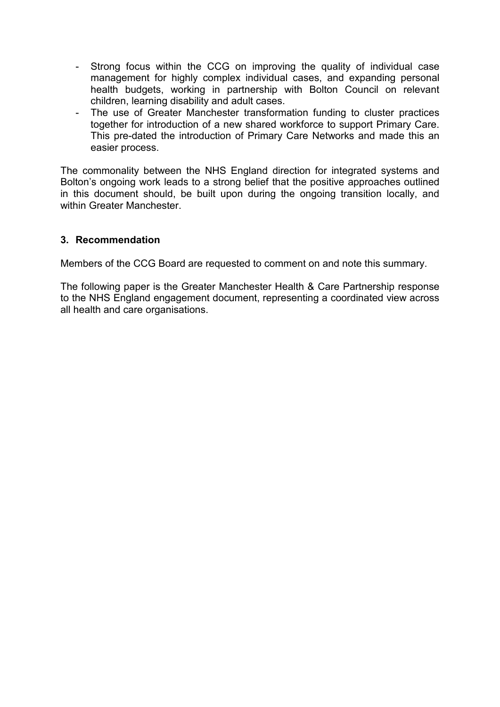- Strong focus within the CCG on improving the quality of individual case management for highly complex individual cases, and expanding personal health budgets, working in partnership with Bolton Council on relevant children, learning disability and adult cases.
- The use of Greater Manchester transformation funding to cluster practices together for introduction of a new shared workforce to support Primary Care. This pre-dated the introduction of Primary Care Networks and made this an easier process.

The commonality between the NHS England direction for integrated systems and Bolton's ongoing work leads to a strong belief that the positive approaches outlined in this document should, be built upon during the ongoing transition locally, and within Greater Manchester

# **3. Recommendation**

Members of the CCG Board are requested to comment on and note this summary.

The following paper is the Greater Manchester Health & Care Partnership response to the NHS England engagement document, representing a coordinated view across all health and care organisations.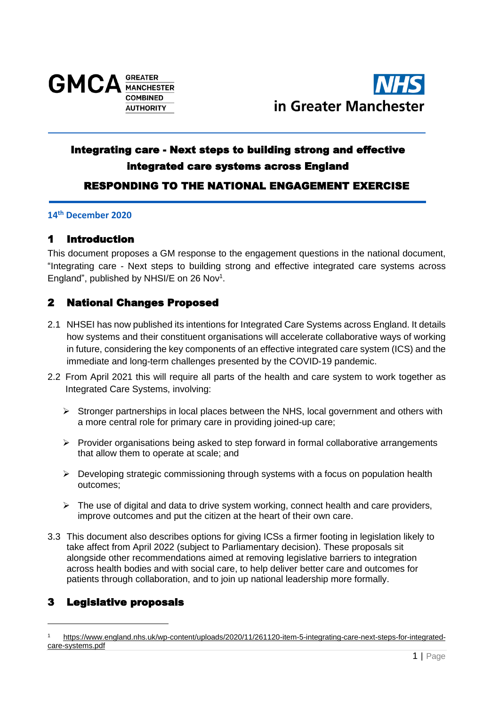



# Integrating care - Next steps to building strong and effective integrated care systems across England RESPONDING TO THE NATIONAL ENGAGEMENT EXERCISE

### **14th December 2020**

# 1 Introduction

This document proposes a GM response to the engagement questions in the national document, "Integrating care - Next steps to building strong and effective integrated care systems across England", published by NHSI/E on 26 Nov<sup>1</sup>.

# 2 National Changes Proposed

- 2.1 NHSEI has now published its intentions for Integrated Care Systems across England. It details how systems and their constituent organisations will accelerate collaborative ways of working in future, considering the key components of an effective integrated care system (ICS) and the immediate and long-term challenges presented by the COVID-19 pandemic.
- 2.2 From April 2021 this will require all parts of the health and care system to work together as Integrated Care Systems, involving:
	- $\triangleright$  Stronger partnerships in local places between the NHS, local government and others with a more central role for primary care in providing joined-up care;
	- $\triangleright$  Provider organisations being asked to step forward in formal collaborative arrangements that allow them to operate at scale; and
	- $\triangleright$  Developing strategic commissioning through systems with a focus on population health outcomes;
	- ➢ The use of digital and data to drive system working, connect health and care providers, improve outcomes and put the citizen at the heart of their own care.
- 3.3 This document also describes options for giving ICSs a firmer footing in legislation likely to take affect from April 2022 (subject to Parliamentary decision). These proposals sit alongside other recommendations aimed at removing legislative barriers to integration across health bodies and with social care, to help deliver better care and outcomes for patients through collaboration, and to join up national leadership more formally.

# 3 Legislative proposals

[https://www.england.nhs.uk/wp-content/uploads/2020/11/261120-item-5-integrating-care-next-steps-for-integrated](https://www.england.nhs.uk/wp-content/uploads/2020/11/261120-item-5-integrating-care-next-steps-for-integrated-care-systems.pdf)[care-systems.pdf](https://www.england.nhs.uk/wp-content/uploads/2020/11/261120-item-5-integrating-care-next-steps-for-integrated-care-systems.pdf)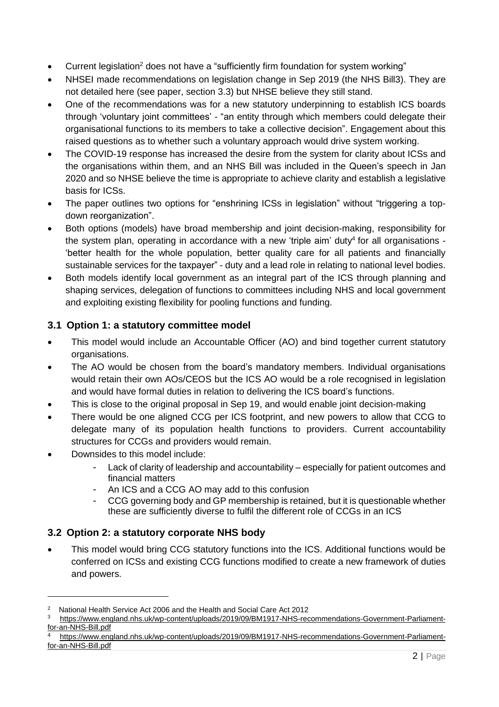- Current legislation<sup>2</sup> does not have a "sufficiently firm foundation for system working"
- NHSEI made recommendations on legislation change in Sep 2019 (the NHS Bill3). They are not detailed here (see paper, section 3.3) but NHSE believe they still stand.
- One of the recommendations was for a new statutory underpinning to establish ICS boards through 'voluntary joint committees' - "an entity through which members could delegate their organisational functions to its members to take a collective decision". Engagement about this raised questions as to whether such a voluntary approach would drive system working.
- The COVID-19 response has increased the desire from the system for clarity about ICSs and the organisations within them, and an NHS Bill was included in the Queen's speech in Jan 2020 and so NHSE believe the time is appropriate to achieve clarity and establish a legislative basis for ICSs.
- The paper outlines two options for "enshrining ICSs in legislation" without "triggering a topdown reorganization".
- Both options (models) have broad membership and joint decision-making, responsibility for the system plan, operating in accordance with a new 'triple aim' duty<sup>4</sup> for all organisations -'better health for the whole population, better quality care for all patients and financially sustainable services for the taxpayer" - duty and a lead role in relating to national level bodies.
- Both models identify local government as an integral part of the ICS through planning and shaping services, delegation of functions to committees including NHS and local government and exploiting existing flexibility for pooling functions and funding.

# **3.1 Option 1: a statutory committee model**

- This model would include an Accountable Officer (AO) and bind together current statutory organisations.
- The AO would be chosen from the board's mandatory members. Individual organisations would retain their own AOs/CEOS but the ICS AO would be a role recognised in legislation and would have formal duties in relation to delivering the ICS board's functions.
- This is close to the original proposal in Sep 19, and would enable joint decision-making
- There would be one aligned CCG per ICS footprint, and new powers to allow that CCG to delegate many of its population health functions to providers. Current accountability structures for CCGs and providers would remain.
- Downsides to this model include:
	- Lack of clarity of leadership and accountability especially for patient outcomes and financial matters
	- An ICS and a CCG AO may add to this confusion
	- CCG governing body and GP membership is retained, but it is questionable whether these are sufficiently diverse to fulfil the different role of CCGs in an ICS

# **3.2 Option 2: a statutory corporate NHS body**

• This model would bring CCG statutory functions into the ICS. Additional functions would be conferred on ICSs and existing CCG functions modified to create a new framework of duties and powers.

<sup>2</sup> National Health Service Act 2006 and the Health and Social Care Act 2012

[https://www.england.nhs.uk/wp-content/uploads/2019/09/BM1917-NHS-recommendations-Government-Parliament](https://www.england.nhs.uk/wp-content/uploads/2019/09/BM1917-NHS-recommendations-Government-Parliament-for-an-NHS-Bill.pdf)[for-an-NHS-Bill.pdf](https://www.england.nhs.uk/wp-content/uploads/2019/09/BM1917-NHS-recommendations-Government-Parliament-for-an-NHS-Bill.pdf)

[https://www.england.nhs.uk/wp-content/uploads/2019/09/BM1917-NHS-recommendations-Government-Parliament](https://www.england.nhs.uk/wp-content/uploads/2019/09/BM1917-NHS-recommendations-Government-Parliament-for-an-NHS-Bill.pdf)[for-an-NHS-Bill.pdf](https://www.england.nhs.uk/wp-content/uploads/2019/09/BM1917-NHS-recommendations-Government-Parliament-for-an-NHS-Bill.pdf)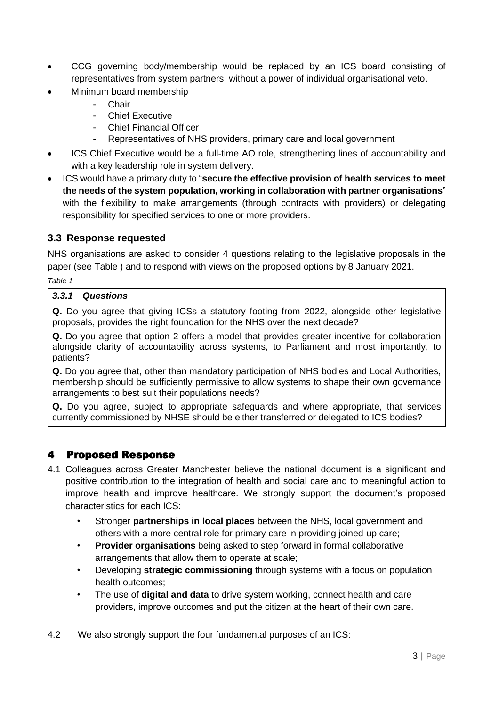- CCG governing body/membership would be replaced by an ICS board consisting of representatives from system partners, without a power of individual organisational veto.
- Minimum board membership
	- **Chair**
	- Chief Executive
	- Chief Financial Officer
	- Representatives of NHS providers, primary care and local government
- ICS Chief Executive would be a full-time AO role, strengthening lines of accountability and with a key leadership role in system delivery.
- ICS would have a primary duty to "**secure the effective provision of health services to meet the needs of the system population, working in collaboration with partner organisations**" with the flexibility to make arrangements (through contracts with providers) or delegating responsibility for specified services to one or more providers.

# **3.3 Response requested**

NHS organisations are asked to consider 4 questions relating to the legislative proposals in the paper (see [Table](#page-9-0) ) and to respond with views on the proposed options by 8 January 2021.

<span id="page-9-0"></span>*Table 1*

## *3.3.1 Questions*

**Q.** Do you agree that giving ICSs a statutory footing from 2022, alongside other legislative proposals, provides the right foundation for the NHS over the next decade?

**Q.** Do you agree that option 2 offers a model that provides greater incentive for collaboration alongside clarity of accountability across systems, to Parliament and most importantly, to patients?

**Q.** Do you agree that, other than mandatory participation of NHS bodies and Local Authorities, membership should be sufficiently permissive to allow systems to shape their own governance arrangements to best suit their populations needs?

**Q.** Do you agree, subject to appropriate safeguards and where appropriate, that services currently commissioned by NHSE should be either transferred or delegated to ICS bodies?

# 4 Proposed Response

- 4.1 Colleagues across Greater Manchester believe the national document is a significant and positive contribution to the integration of health and social care and to meaningful action to improve health and improve healthcare. We strongly support the document's proposed characteristics for each ICS:
	- Stronger **partnerships in local places** between the NHS, local government and others with a more central role for primary care in providing joined-up care;
	- **Provider organisations** being asked to step forward in formal collaborative arrangements that allow them to operate at scale;
	- Developing **strategic commissioning** through systems with a focus on population health outcomes;
	- The use of **digital and data** to drive system working, connect health and care providers, improve outcomes and put the citizen at the heart of their own care.
- 4.2 We also strongly support the four fundamental purposes of an ICS: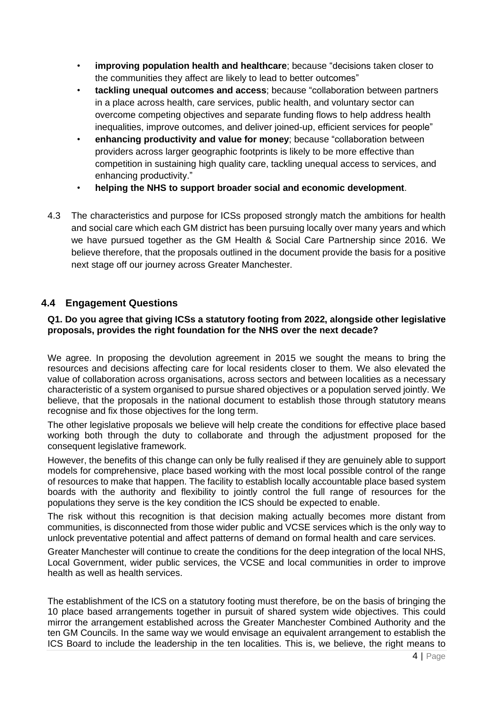- **improving population health and healthcare**; because "decisions taken closer to the communities they affect are likely to lead to better outcomes"
- **tackling unequal outcomes and access**; because "collaboration between partners in a place across health, care services, public health, and voluntary sector can overcome competing objectives and separate funding flows to help address health inequalities, improve outcomes, and deliver joined-up, efficient services for people"
- **enhancing productivity and value for money**; because "collaboration between providers across larger geographic footprints is likely to be more effective than competition in sustaining high quality care, tackling unequal access to services, and enhancing productivity."
- **helping the NHS to support broader social and economic development**.
- 4.3 The characteristics and purpose for ICSs proposed strongly match the ambitions for health and social care which each GM district has been pursuing locally over many years and which we have pursued together as the GM Health & Social Care Partnership since 2016. We believe therefore, that the proposals outlined in the document provide the basis for a positive next stage off our journey across Greater Manchester.

## **4.4 Engagement Questions**

### **Q1. Do you agree that giving ICSs a statutory footing from 2022, alongside other legislative proposals, provides the right foundation for the NHS over the next decade?**

We agree. In proposing the devolution agreement in 2015 we sought the means to bring the resources and decisions affecting care for local residents closer to them. We also elevated the value of collaboration across organisations, across sectors and between localities as a necessary characteristic of a system organised to pursue shared objectives or a population served jointly. We believe, that the proposals in the national document to establish those through statutory means recognise and fix those objectives for the long term.

The other legislative proposals we believe will help create the conditions for effective place based working both through the duty to collaborate and through the adjustment proposed for the consequent legislative framework.

However, the benefits of this change can only be fully realised if they are genuinely able to support models for comprehensive, place based working with the most local possible control of the range of resources to make that happen. The facility to establish locally accountable place based system boards with the authority and flexibility to jointly control the full range of resources for the populations they serve is the key condition the ICS should be expected to enable.

The risk without this recognition is that decision making actually becomes more distant from communities, is disconnected from those wider public and VCSE services which is the only way to unlock preventative potential and affect patterns of demand on formal health and care services.

Greater Manchester will continue to create the conditions for the deep integration of the local NHS, Local Government, wider public services, the VCSE and local communities in order to improve health as well as health services.

The establishment of the ICS on a statutory footing must therefore, be on the basis of bringing the 10 place based arrangements together in pursuit of shared system wide objectives. This could mirror the arrangement established across the Greater Manchester Combined Authority and the ten GM Councils. In the same way we would envisage an equivalent arrangement to establish the ICS Board to include the leadership in the ten localities. This is, we believe, the right means to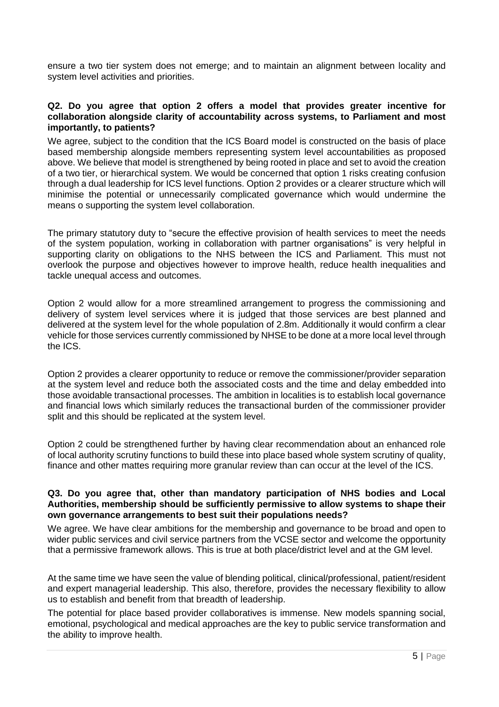ensure a two tier system does not emerge; and to maintain an alignment between locality and system level activities and priorities.

### **Q2. Do you agree that option 2 offers a model that provides greater incentive for collaboration alongside clarity of accountability across systems, to Parliament and most importantly, to patients?**

We agree, subject to the condition that the ICS Board model is constructed on the basis of place based membership alongside members representing system level accountabilities as proposed above. We believe that model is strengthened by being rooted in place and set to avoid the creation of a two tier, or hierarchical system. We would be concerned that option 1 risks creating confusion through a dual leadership for ICS level functions. Option 2 provides or a clearer structure which will minimise the potential or unnecessarily complicated governance which would undermine the means o supporting the system level collaboration.

The primary statutory duty to "secure the effective provision of health services to meet the needs of the system population, working in collaboration with partner organisations" is very helpful in supporting clarity on obligations to the NHS between the ICS and Parliament. This must not overlook the purpose and objectives however to improve health, reduce health inequalities and tackle unequal access and outcomes.

Option 2 would allow for a more streamlined arrangement to progress the commissioning and delivery of system level services where it is judged that those services are best planned and delivered at the system level for the whole population of 2.8m. Additionally it would confirm a clear vehicle for those services currently commissioned by NHSE to be done at a more local level through the ICS.

Option 2 provides a clearer opportunity to reduce or remove the commissioner/provider separation at the system level and reduce both the associated costs and the time and delay embedded into those avoidable transactional processes. The ambition in localities is to establish local governance and financial lows which similarly reduces the transactional burden of the commissioner provider split and this should be replicated at the system level.

Option 2 could be strengthened further by having clear recommendation about an enhanced role of local authority scrutiny functions to build these into place based whole system scrutiny of quality, finance and other mattes requiring more granular review than can occur at the level of the ICS.

### **Q3. Do you agree that, other than mandatory participation of NHS bodies and Local Authorities, membership should be sufficiently permissive to allow systems to shape their own governance arrangements to best suit their populations needs?**

We agree. We have clear ambitions for the membership and governance to be broad and open to wider public services and civil service partners from the VCSE sector and welcome the opportunity that a permissive framework allows. This is true at both place/district level and at the GM level.

At the same time we have seen the value of blending political, clinical/professional, patient/resident and expert managerial leadership. This also, therefore, provides the necessary flexibility to allow us to establish and benefit from that breadth of leadership.

The potential for place based provider collaboratives is immense. New models spanning social, emotional, psychological and medical approaches are the key to public service transformation and the ability to improve health.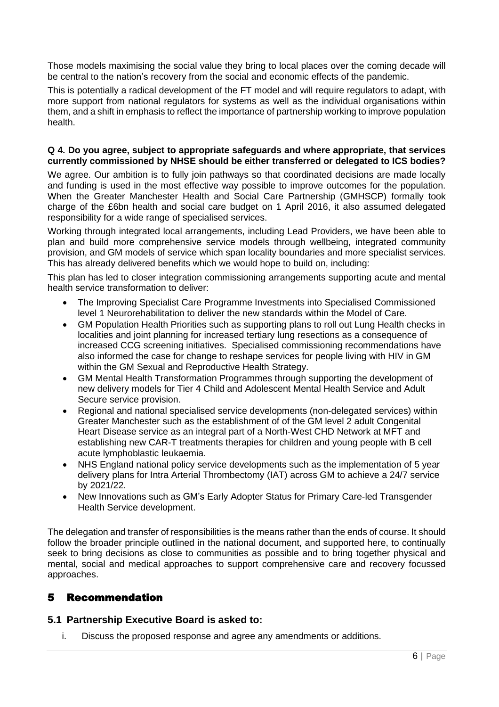Those models maximising the social value they bring to local places over the coming decade will be central to the nation's recovery from the social and economic effects of the pandemic.

This is potentially a radical development of the FT model and will require regulators to adapt, with more support from national regulators for systems as well as the individual organisations within them, and a shift in emphasis to reflect the importance of partnership working to improve population health.

### **Q 4. Do you agree, subject to appropriate safeguards and where appropriate, that services currently commissioned by NHSE should be either transferred or delegated to ICS bodies?**

We agree. Our ambition is to fully join pathways so that coordinated decisions are made locally and funding is used in the most effective way possible to improve outcomes for the population. When the Greater Manchester Health and Social Care Partnership (GMHSCP) formally took charge of the £6bn health and social care budget on 1 April 2016, it also assumed delegated responsibility for a wide range of specialised services.

Working through integrated local arrangements, including Lead Providers, we have been able to plan and build more comprehensive service models through wellbeing, integrated community provision, and GM models of service which span locality boundaries and more specialist services. This has already delivered benefits which we would hope to build on, including:

This plan has led to closer integration commissioning arrangements supporting acute and mental health service transformation to deliver:

- The Improving Specialist Care Programme Investments into Specialised Commissioned level 1 Neurorehabilitation to deliver the new standards within the Model of Care.
- GM Population Health Priorities such as supporting plans to roll out Lung Health checks in localities and joint planning for increased tertiary lung resections as a consequence of increased CCG screening initiatives. Specialised commissioning recommendations have also informed the case for change to reshape services for people living with HIV in GM within the GM Sexual and Reproductive Health Strategy.
- GM Mental Health Transformation Programmes through supporting the development of new delivery models for Tier 4 Child and Adolescent Mental Health Service and Adult Secure service provision.
- Regional and national specialised service developments (non-delegated services) within Greater Manchester such as the establishment of of the GM level 2 adult Congenital Heart Disease service as an integral part of a North-West CHD Network at MFT and establishing new CAR-T treatments therapies for children and young people with B cell acute lymphoblastic leukaemia.
- NHS England national policy service developments such as the implementation of 5 year delivery plans for Intra Arterial Thrombectomy (IAT) across GM to achieve a 24/7 service by 2021/22.
- New Innovations such as GM's Early Adopter Status for Primary Care-led Transgender Health Service development.

The delegation and transfer of responsibilities is the means rather than the ends of course. It should follow the broader principle outlined in the national document, and supported here, to continually seek to bring decisions as close to communities as possible and to bring together physical and mental, social and medical approaches to support comprehensive care and recovery focussed approaches.

# 5 Recommendation

## **5.1 Partnership Executive Board is asked to:**

i. Discuss the proposed response and agree any amendments or additions.